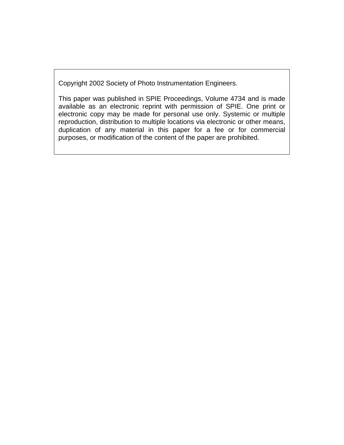Copyright 2002 Society of Photo Instrumentation Engineers.

This paper was published in SPIE Proceedings, Volume 4734 and is made available as an electronic reprint with permission of SPIE. One print or electronic copy may be made for personal use only. Systemic or multiple reproduction, distribution to multiple locations via electronic or other means, duplication of any material in this paper for a fee or for commercial purposes, or modification of the content of the paper are prohibited.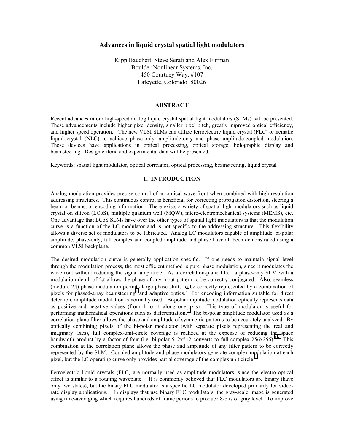## **Advances in liquid crystal spatial light modulators**

Kipp Bauchert, Steve Serati and Alex Furman Boulder Nonlinear Systems, Inc. 450 Courtney Way, #107 Lafeyette, Colorado 80026

### **ABSTRACT**

Recent advances in our high-speed analog liquid crystal spatial light modulators (SLMs) will be presented. These advancements include higher pixel density, smaller pixel pitch, greatly improved optical efficiency, and higher speed operation. The new VLSI SLMs can utilize ferroelectric liquid crystal (FLC) or nematic liquid crystal (NLC) to achieve phase-only, amplitude-only and phase-amplitude-coupled modulation. These devices have applications in optical processing, optical storage, holographic display and beamsteering. Design criteria and experimental data will be presented.

Keywords: spatial light modulator, optical correlator, optical processing, beamsteering, liquid crystal

### **1. INTRODUCTION**

Analog modulation provides precise control of an optical wave front when combined with high-resolution addressing structures. This continuous control is beneficial for correcting propagation distortion, steering a beam or beams, or encoding information. There exists a variety of spatial light modulators such as liquid crystal on silicon (LCoS), multiple quantum well (MQW), micro-electromechanical systems (MEMS), etc. One advantage that LCoS SLMs have over the other types of spatial light modulators is that the modulation curve is a function of the LC modulator and is not specific to the addressing structure. This flexibility allows a diverse set of modulators to be fabricated. Analog LC modulators capable of amplitude, bi-polar amplitude, phase-only, full complex and coupled amplitude and phase have all been demonstrated using a common VLSI backplane.

The desired modulation curve is generally application specific. If one needs to maintain signal level through the modulation process, the most efficient method is pure phase modulation, since it modulates the wavefront without reducing the signal amplitude. As a correlation-plane filter, a phase-only SLM with a modulation depth of  $2\pi$  allows the phase of any input pattern to be correctly conjugated. Also, seamless  $(\text{modulo-}2\pi)$  phase modulation permits large phase shifts to be correctly represented by a combination of pixelsfor phased-array beamsteering<sup>1</sup> and adaptive optics.<sup>2</sup> For encoding information suitable for direct detection, amplitude modulation is normally used. Bi-polar amplitude modulation optically represents data as positive and negative values (from 1 to -1 along one axis). This type of modulator is useful for performing mathematical operations such as differentiation.<sup>[3](#page-9-0)</sup> The bi-polar amplitude modulator used as a correlation-plane filter allows the phase and amplitude of symmetric patterns to be accurately analyzed. By optically combining pixels of the bi-polar modulator (with separate pixels representing the real and imaginary axes), full complex-unit-circle coverage is realized at the expense of reducing the space bandwidth product by a factor of four (i.e. bi-polar  $512x512$  converts to full-complex  $256x256$ ).<sup>4,5</sup> This combination at the correlation plane allows the phase and amplitude of any filter pattern to be correctly represented by the SLM. Coupled amplitude and phase modulators generate complex modulation at each pixel, but the LC operating curve only provides partial coverage of the complex unit circle.<sup>6</sup>

Ferroelectric liquid crystals (FLC) are normally used as amplitude modulators, since the electro-optical effect is similar to a rotating waveplate. It is commonly believed that FLC modulators are binary (have only two states), but the binary FLC modulator is a specific LC modulator developed primarily for videorate display applications. In displays that use binary FLC modulators, the gray-scale image is generated using time-averaging which requires hundreds of frame periods to produce 8-bits of gray level. To improve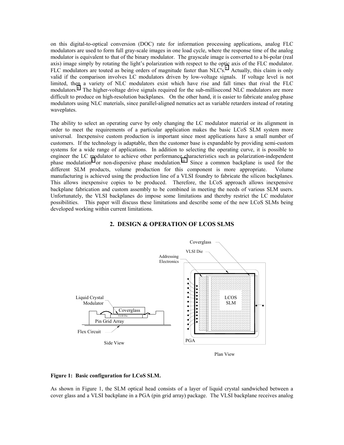on this digital-to-optical conversion (DOC) rate for information processing applications, analog FLC modulators are used to form full gray-scale images in one load cycle, where the response time of the analog modulator is equivalent to that of the binary modulator. The grayscale image is converted to a bi-polar (real axis) image simply by rotating the light's polarization with respect to the optic axis of the FLC modulator. FLC modulators are touted as being orders of magnitude faster than NLC's.<sup>[7](#page-9-0)</sup> Actually, this claim is only valid if the comparison involves LC modulators driven by low-voltage signals. If voltage level is not limited, then a variety of NLC modulators exist which have rise and fall times that rival the FLC modulators.<sup>[8](#page-9-0)</sup> The higher-voltage drive signals required for the sub-millisecond NLC modulators are more difficult to produce on high-resolution backplanes. On the other hand, it is easier to fabricate analog phase modulators using NLC materials, since parallel-aligned nematics act as variable retarders instead of rotating waveplates.

The ability to select an operating curve by only changing the LC modulator material or its alignment in order to meet the requirements of a particular application makes the basic LCoS SLM system more universal. Inexpensive custom production is important since most applications have a small number of customers. If the technology is adaptable, then the customer base is expandable by providing semi-custom systems for a wide range of applications. In addition to selecting the operating curve, it is possible to engineer the LC modulator to achieve other performance characteristics such as polarization-independent phase modulation<sup>[9](#page-9-0)</sup> or non-dispersive phase modulation.<sup>10</sup> Since a common backplane is used for the different SLM products, volume production for this component is more appropriate. Volume manufacturing is achieved using the production line of a VLSI foundry to fabricate the silicon backplanes. This allows inexpensive copies to be produced. Therefore, the LCoS approach allows inexpensive backplane fabrication and custom assembly to be combined in meeting the needs of various SLM users. Unfortunately, the VLSI backplanes do impose some limitations and thereby restrict the LC modulator possibilities. This paper will discuss these limitations and describe some of the new LCoS SLMs being developed working within current limitations.



## **2. DESIGN & OPERATION OF LCOS SLMS**

### Plan View

#### **Figure 1: Basic configuration for LCoS SLM.**

As shown in Figure 1, the SLM optical head consists of a layer of liquid crystal sandwiched between a cover glass and a VLSI backplane in a PGA (pin grid array) package. The VLSI backplane receives analog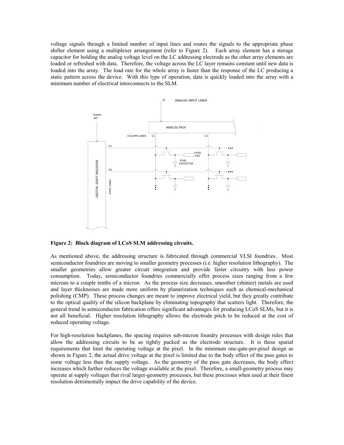voltage signals through a limited number of input lines and routes the signals to the appropriate phase shifter element using a multiplexer arrangement (refer to Figure 2). Each array element has a storage capacitor for holding the analog voltage level on the LC addressing electrode as the other array elements are loaded or refreshed with data. Therefore, the voltage across the LC layer remains constant until new data is loaded into the array. The load rate for the whole array is faster than the response of the LC producing a static pattern across the device. With this type of operation, data is quickly loaded into the array with a minimum number of electrical interconnects to the SLM.



**Figure 2: Block diagram of LCoS SLM addressing circuits.** 

As mentioned above, the addressing structure is fabricated through commercial VLSI foundries. Most semiconductor foundries are moving to smaller geometry processes (i.e. higher resolution lithography). The smaller geometries allow greater circuit integration and provide faster circuitry with less power consumption. Today, semiconductor foundries commercially offer process sizes ranging from a few microns to a couple tenths of a micron. As the process size decreases, smoother (shinier) metals are used and layer thicknesses are made more uniform by planarization techniques such as chemical-mechanical polishing (CMP). These process changes are meant to improve electrical yield, but they greatly contribute to the optical quality of the silicon backplane by eliminating topography that scatters light. Therefore, the general trend in semiconductor fabrication offers significant advantages for producing LCoS SLMs, but it is not all beneficial. Higher resolution lithography allows the electrode pitch to be reduced at the cost of reduced operating voltage.

For high-resolution backplanes, the spacing requires sub-micron foundry processes with design rules that allow the addressing circuits to be as tightly packed as the electrode structure. It is these spatial requirements that limit the operating voltage at the pixel. In the minimum one-gate-per-pixel design as shown in Figure 2, the actual drive voltage at the pixel is limited due to the body effect of the pass gates to some voltage less than the supply voltage. As the geometry of the pass gate decreases, the body effect increases which further reduces the voltage available at the pixel. Therefore, a small-geometry process may operate at supply voltages that rival larger-geometry processes, but these processes when used at their finest resolution detrimentally impact the drive capability of the device.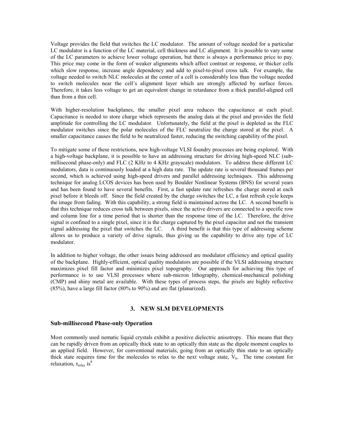Voltage provides the field that switches the LC modulator. The amount of voltage needed for a particular LC modulator is a function of the LC material, cell thickness and LC alignment. It is possible to vary some of the LC parameters to achieve lower voltage operation, but there is always a performance price to pay. This price may come in the form of weaker alignments which affect contrast or response, or thicker cells which slow response, increase angle dependency and add to pixel-to-pixel cross talk. For example, the voltage needed to switch NLC molecules at the center of a cell is considerably less than the voltage needed to switch molecules near the cell's alignment layer which are strongly affected by surface forces. Therefore, it takes less voltage to get an equivalent change in retardance from a thick parallel-aligned cell than from a thin cell.

With higher-resolution backplanes, the smaller pixel area reduces the capacitance at each pixel. Capacitance is needed to store charge which represents the analog data at the pixel and provides the field amplitude for controlling the LC modulator. Unfortunately, the field at the pixel is depleted as the FLC modulator switches since the polar molecules of the FLC neutralize the charge stored at the pixel. A smaller capacitance causes the field to be neutralized faster, reducing the switching capability of the pixel.

To mitigate some of these restrictions, new high-voltage VLSI foundry processes are being explored. With a high-voltage backplane, it is possible to have an addressing structure for driving high-speed NLC (submillisecond phase-only) and FLC (2 KHz to 4 KHz grayscale) modulators. To address these different LC modulators, data is continuously loaded at a high data rate. The update rate is several thousand frames per second, which is achieved using high-speed drivers and parallel addressing techniques. This addressing technique for analog LCOS devices has been used by Boulder Nonlinear Systems (BNS) for several years and has been found to have several benefits. First, a fast update rate refreshes the charge stored at each pixel before it bleeds off. Since the field created by the charge switches the LC, a fast refresh cycle keeps the image from fading. With this capability, a strong field is maintained across the LC. A second benefit is that this technique reduces cross talk between pixels, since the active drivers are connected to a specific row and column line for a time period that is shorter than the response time of the LC. Therefore, the drive signal is confined to a single pixel, since it is the charge captured by the pixel capacitor and not the transient signal addressing the pixel that switches the LC. A third benefit is that this type of addressing scheme allows us to produce a variety of drive signals, thus giving us the capability to drive any type of LC modulator.

In addition to higher voltage, the other issues being addressed are modulator efficiency and optical quality of the backplane. Highly-efficient, optical quality modulators are possible if the VLSI addressing structure maximizes pixel fill factor and minimizes pixel topography. Our approach for achieving this type of performance is to use VLSI processes where sub-micron lithography, chemical-mechanical polishing (CMP) and shiny metal are available. With these types of process steps, the pixels are highly reflective (85%), have a large fill factor (80% to 90%) and are flat (planarized).

### **3. NEW SLM DEVELOPMENTS**

### **Sub-millisecond Phase-only Operation**

Most commonly used nematic liquid crystals exhibit a positive dielectric anisotropy. This means that they can be rapidly driven from an optically thick state to an optically thin state as the dipole moment couples to an applied field. However, for conventional materials, going from an optically thin state to an optically thick state requires time for the molecules to relax to the next voltage state,  $V_b$ . The time constant for relaxation,  $\tau_{relax}$  is<sup>8</sup>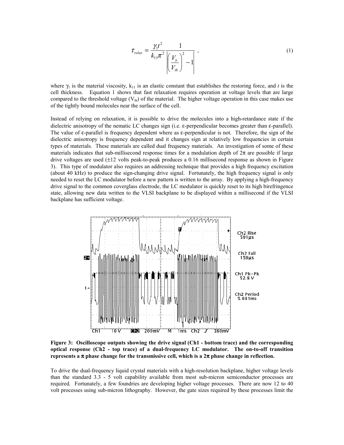$$
\tau_{relax} = \frac{\gamma_1 t^2}{k_{11} \pi^2} \frac{1}{\left| \left( \frac{V_b}{V_{th}} \right)^2 - 1 \right|} \,, \tag{1}
$$

where  $\gamma_1$  is the material viscosity,  $k_{11}$  is an elastic constant that establishes the restoring force, and *t* is the cell thickness. Equation 1 shows that fast relaxation requires operation at voltage levels that are large compared to the threshold voltage  $(V<sub>th</sub>)$  of the material. The higher voltage operation in this case makes use of the tightly bound molecules near the surface of the cell.

Instead of relying on relaxation, it is possible to drive the molecules into a high-retardance state if the dielectric anisotropy of the nematic LC changes sign (i.e. ε-perpendicular becomes greater than ε-parallel). The value of  $\varepsilon$ -parallel is frequency dependent where as  $\varepsilon$ -perpendicular is not. Therefore, the sign of the dielectric anisotropy is frequency dependent and it changes sign at relatively low frequencies in certain types of materials. These materials are called dual frequency materials. An investigation of some of these materials indicates that sub-millisecond response times for a modulation depth of  $2\pi$  are possible if large drive voltages are used (±12 volts peak-to-peak produces a 0.16 millisecond response as shown in Figure 3). This type of modulator also requires an addressing technique that provides a high frequency excitation (about 40 kHz) to produce the sign-changing drive signal. Fortunately, the high frequency signal is only needed to reset the LC modulator before a new pattern is written to the array. By applying a high-frequency drive signal to the common coverglass electrode, the LC modulator is quickly reset to its high birefringence state, allowing new data written to the VLSI backplane to be displayed within a millisecond if the VLSI backplane has sufficient voltage.



**Figure 3: Oscilloscope outputs showing the drive signal (Ch1 - bottom trace) and the corresponding optical response (Ch2 - top trace) of a dual-frequency LC modulator. The on-to-off transition represents a** π **phase change for the transmissive cell, which is a 2**π **phase change in reflection.** 

To drive the dual-frequency liquid crystal materials with a high-resolution backplane, higher voltage levels than the standard 3.3 - 5 volt capability available from most sub-micron semiconductor processes are required. Fortunately, a few foundries are developing higher voltage processes. There are now 12 to 40 volt processes using sub-micron lithography. However, the gate sizes required by these processes limit the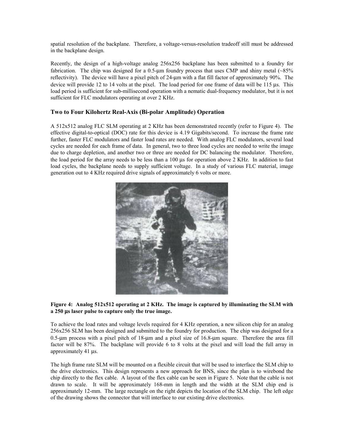spatial resolution of the backplane. Therefore, a voltage-versus-resolution tradeoff still must be addressed in the backplane design.

Recently, the design of a high-voltage analog 256x256 backplane has been submitted to a foundry for fabrication. The chip was designed for a 0.5-µm foundry process that uses CMP and shiny metal  $(~85\%$ reflectivity). The device will have a pixel pitch of 24-µm with a flat fill factor of approximately 90%. The device will provide 12 to 14 volts at the pixel. The load period for one frame of data will be 115 us. This load period is sufficient for sub-millisecond operation with a nematic dual-frequency modulator, but it is not sufficient for FLC modulators operating at over 2 KHz.

# **Two to Four Kilohertz Real-Axis (Bi-polar Amplitude) Operation**

A 512x512 analog FLC SLM operating at 2 KHz has been demonstrated recently (refer to Figure 4). The effective digital-to-optical (DOC) rate for this device is 4.19 Gigabits/second. To increase the frame rate further, faster FLC modulators and faster load rates are needed. With analog FLC modulators, several load cycles are needed for each frame of data. In general, two to three load cycles are needed to write the image due to charge depletion, and another two or three are needed for DC balancing the modulator. Therefore, the load period for the array needs to be less than a 100 µs for operation above 2 KHz. In addition to fast load cycles, the backplane needs to supply sufficient voltage. In a study of various FLC material, image generation out to 4 KHz required drive signals of approximately 6 volts or more.



## **Figure 4: Analog 512x512 operating at 2 KHz. The image is captured by illuminating the SLM with a 250** µ**s laser pulse to capture only the true image.**

To achieve the load rates and voltage levels required for 4 KHz operation, a new silicon chip for an analog 256x256 SLM has been designed and submitted to the foundry for production. The chip was designed for a 0.5-µm process with a pixel pitch of 18-µm and a pixel size of 16.8-µm square. Therefore the area fill factor will be 87%. The backplane will provide 6 to 8 volts at the pixel and will load the full array in approximately 41 µs.

The high frame rate SLM will be mounted on a flexible circuit that will be used to interface the SLM chip to the drive electronics. This design represents a new approach for BNS, since the plan is to wirebond the chip directly to the flex cable. A layout of the flex cable can be seen in Figure 5. Note that the cable is not drawn to scale. It will be approximately 168-mm in length and the width at the SLM chip end is approximately 12-mm. The large rectangle on the right depicts the location of the SLM chip. The left edge of the drawing shows the connector that will interface to our existing drive electronics.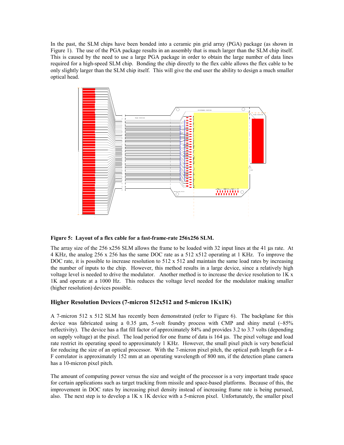In the past, the SLM chips have been bonded into a ceramic pin grid array (PGA) package (as shown in Figure 1). The use of the PGA package results in an assembly that is much larger than the SLM chip itself. This is caused by the need to use a large PGA package in order to obtain the large number of data lines required for a high-speed SLM chip. Bonding the chip directly to the flex cable allows the flex cable to be only slightly larger than the SLM chip itself. This will give the end user the ability to design a much smaller optical head.



**Figure 5: Layout of a flex cable for a fast-frame-rate 256x256 SLM.** 

The array size of the 256 x256 SLM allows the frame to be loaded with 32 input lines at the 41 µs rate. At 4 KHz, the analog 256 x 256 has the same DOC rate as a 512 x512 operating at 1 KHz. To improve the DOC rate, it is possible to increase resolution to 512 x 512 and maintain the same load rates by increasing the number of inputs to the chip. However, this method results in a large device, since a relatively high voltage level is needed to drive the modulator. Another method is to increase the device resolution to 1K x 1K and operate at a 1000 Hz. This reduces the voltage level needed for the modulator making smaller (higher resolution) devices possible.

## **Higher Resolution Devices (7-micron 512x512 and 5-micron 1Kx1K)**

A 7-micron 512 x 512 SLM has recently been demonstrated (refer to Figure 6). The backplane for this device was fabricated using a 0.35  $\mu$ m, 5-volt foundry process with CMP and shiny metal (~85%) reflectivity). The device has a flat fill factor of approximately 84% and provides 3.2 to 3.7 volts (depending on supply voltage) at the pixel. The load period for one frame of data is 164 µs. The pixel voltage and load rate restrict its operating speed to approximately 1 KHz. However, the small pixel pitch is very beneficial for reducing the size of an optical processor. With the 7-micron pixel pitch, the optical path length for a 4- F correlator is approximately 152 mm at an operating wavelength of 800 nm, if the detection plane camera has a 10-micron pixel pitch.

The amount of computing power versus the size and weight of the processor is a very important trade space for certain applications such as target tracking from missile and space-based platforms. Because of this, the improvement in DOC rates by increasing pixel density instead of increasing frame rate is being pursued, also. The next step is to develop a  $1K \times 1K$  device with a 5-micron pixel. Unfortunately, the smaller pixel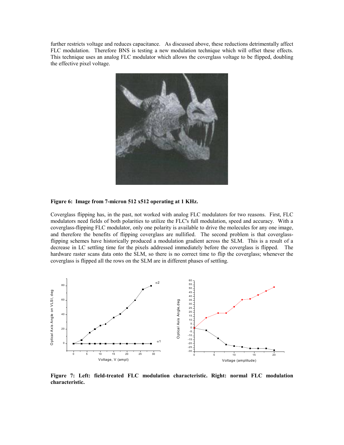further restricts voltage and reduces capacitance. As discussed above, these reductions detrimentally affect FLC modulation. Therefore BNS is testing a new modulation technique which will offset these effects. This technique uses an analog FLC modulator which allows the coverglass voltage to be flipped, doubling the effective pixel voltage.



#### **Figure 6: Image from 7-micron 512 x512 operating at 1 KHz.**

Coverglass flipping has, in the past, not worked with analog FLC modulators for two reasons. First, FLC modulators need fields of both polarities to utilize the FLC's full modulation, speed and accuracy. With a coverglass-flipping FLC modulator, only one polarity is available to drive the molecules for any one image, and therefore the benefits of flipping coverglass are nullified. The second problem is that coverglassflipping schemes have historically produced a modulation gradient across the SLM. This is a result of a decrease in LC settling time for the pixels addressed immediately before the coverglass is flipped. The hardware raster scans data onto the SLM, so there is no correct time to flip the coverglass; whenever the coverglass is flipped all the rows on the SLM are in different phases of settling.



**Figure 7: Left: field-treated FLC modulation characteristic. Right: normal FLC modulation characteristic.**